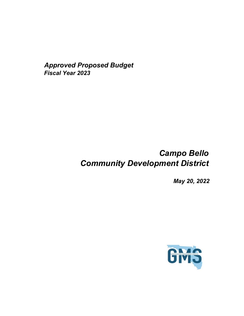*Approved Proposed Budget Fiscal Year 2023*

# *Campo Bello Community Development District*

*May 20, 2022*

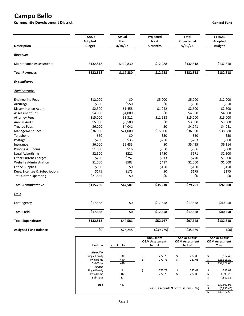# **Campo Bello**

**Community Development District General Fund** 

| <b>Description</b>             | FY2022<br>Adopted<br><b>Budget</b> | Actual<br>thru<br>4/30/22 | Projected<br><b>Next</b><br>5 Months                       | <b>Total</b><br>Projected at<br>9/30/22                       | FY2023<br>Adopted<br><b>Budget</b>                         |
|--------------------------------|------------------------------------|---------------------------|------------------------------------------------------------|---------------------------------------------------------------|------------------------------------------------------------|
| <b>Revenues</b>                |                                    |                           |                                                            |                                                               |                                                            |
| <b>Maintenance Assessments</b> | \$132,818                          | \$119,830                 | \$12,988                                                   | \$132,818                                                     | \$132,818                                                  |
| <b>Total Revenues</b>          | \$132,818                          | \$119,830                 | \$12,988                                                   | \$132,818                                                     | \$132,818                                                  |
| <b>Expenditures</b>            |                                    |                           |                                                            |                                                               |                                                            |
| <b>Administrative</b>          |                                    |                           |                                                            |                                                               |                                                            |
| <b>Engineering Fees</b>        | \$12,000                           | \$0                       | \$5,000                                                    | \$5,000                                                       | \$12,000                                                   |
| Arbitrage                      | \$600                              | \$550                     | \$0                                                        | \$550                                                         | \$550                                                      |
| Dissemination Agent            | \$2,500                            | \$1,458                   | \$1,042                                                    | \$2,500                                                       | \$2,500                                                    |
| Assessment Roll                | \$4,000                            | \$4,000                   | \$0                                                        | \$4,000                                                       | \$4,000                                                    |
| <b>Attorney Fees</b>           | \$15,000                           | \$3,312                   | \$11,688                                                   | \$15,000                                                      | \$15,000                                                   |
| Annual Audit                   | \$5,000                            | \$3,500                   | \$0                                                        | \$3,500                                                       | \$3,600                                                    |
| <b>Trustee Fees</b>            | \$6,000                            | \$4,041                   | \$0                                                        | \$4,041                                                       | \$4,041                                                    |
| Management Fees                | \$36,000                           | \$21,000                  | \$15,000                                                   | \$36,000                                                      | \$38,880                                                   |
| Telephone                      | \$50                               | \$0                       | \$50                                                       | \$50                                                          | \$50                                                       |
| Postage                        | \$750                              | \$33                      | \$250                                                      | \$283                                                         | \$500                                                      |
| Insurance                      | \$6,000                            | \$5,435                   | \$0                                                        | \$5,435                                                       | \$6,114                                                    |
| Printing & Binding             | \$1,000                            | \$16                      | \$350                                                      | \$366                                                         | \$500                                                      |
| Legal Advertising              | \$2,500                            | \$221                     | \$750                                                      | \$971                                                         | \$2,500                                                    |
|                                | \$700                              | \$257                     | \$513                                                      | \$770                                                         | \$1,000                                                    |
| <b>Other Current Charges</b>   |                                    |                           |                                                            |                                                               |                                                            |
| Website Administration         | \$1,000                            | \$583                     | \$417                                                      | \$1,000                                                       | \$1,000                                                    |
| Office Supplies                | \$150                              | \$0                       | \$150                                                      | \$150                                                         | \$150                                                      |
| Dues, Licenses & Subscriptions | \$175                              | \$175                     | \$0                                                        | \$175                                                         | \$175                                                      |
| 1st Quarter Operating          | \$21,835                           | \$0                       | \$0                                                        | \$0                                                           | \$0                                                        |
| <b>Total Administrative</b>    | \$115,260                          | \$44,581                  | \$35,210                                                   | \$79,791                                                      | \$92,560                                                   |
| Field                          |                                    |                           |                                                            |                                                               |                                                            |
| Contingency                    | \$17,558                           | \$0                       | \$17,558                                                   | \$17,558                                                      | \$40,258                                                   |
| <b>Total Field</b>             | $\overline{$}17,558$               | \$0                       | $\overline{$}17,558$                                       | \$17,558                                                      | \$40,258                                                   |
| <b>Total Expenditures</b>      | \$132,818                          | \$44,581                  | \$52,767                                                   | \$97,348                                                      | \$132,818                                                  |
| <b>Assigned Fund Balance</b>   | \$0                                | \$75,248                  | ( \$39,779)                                                | \$35,469                                                      | (50)                                                       |
|                                |                                    |                           |                                                            |                                                               |                                                            |
|                                | Land Use                           | No. of Units              | <b>Annual Net</b><br><b>O&amp;M Assessment</b><br>Per Unit | <b>Annual Gross*</b><br><b>O&amp;M Assessment</b><br>Per Unit | <b>Annual Gross*</b><br><b>O&amp;M Assessment</b><br>Total |
|                                |                                    |                           |                                                            |                                                               |                                                            |
|                                | Main Site                          |                           |                                                            |                                                               |                                                            |
|                                | Single Family<br><b>Twin Home</b>  | 30<br>440                 | \$<br>272.73<br>\$<br>272.73                               | \$<br>287.08<br>287.08                                        | \$<br>8,612.40<br>\$<br>126,315.20                         |
|                                | Sub-Total                          | 470                       |                                                            | \$                                                            | \$<br>134,927.60                                           |
|                                | <b>Annex</b>                       |                           |                                                            |                                                               |                                                            |
|                                | Single Family                      | $\mathbf{1}$              | \$<br>272.73                                               | \$<br>287.08                                                  | 287.08<br>\$                                               |
|                                | <b>Twin Home</b>                   | 16                        | \$<br>272.73                                               | \$<br>287.08                                                  | \$<br>4,593.28                                             |
|                                | Sub-Total                          | 17                        |                                                            |                                                               | \$<br>4,880.36                                             |
|                                | <b>Totals</b>                      | 487                       |                                                            |                                                               | 139,807.96<br>\$                                           |
|                                |                                    |                           |                                                            | Less: Discounts/Commissions (5%)                              | \$<br>(6,990.40)                                           |
|                                |                                    |                           |                                                            |                                                               | \$<br>132,817.56                                           |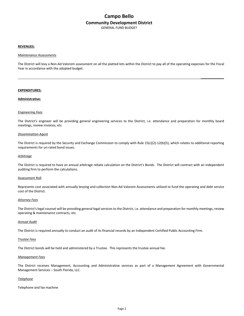## **Campo Bello Community Development District** GENERAL FUND BUDGET

#### **REVENUES:**

#### *Maintenance Assessments*

The District will levy a Non-Ad Valorem assessment on all the platted lots within the District to pay all of the operating expenses for the Fiscal Year in accordance with the adopted budget.

**\_\_\_\_\_\_\_\_\_\_\_\_\_**

#### **EXPENDITURES:**

#### **Administrative:**

#### *Engineering Fees*

The District's engineer will be providing general engineering services to the District, i.e. attendance and preparation for monthly board meetings, review invoices, etc.

#### *Dissemination Agent*

The District is required by the Security and Exchange Commission to comply with Rule 15(c)(2)-12(b)(5), which relates to additional reporting requirements for un-rated bond issues.

#### *Arbitrage*

The District is required to have an annual arbitrage rebate calculation on the District's Bonds. The District will contract with an independent auditing firm to perform the calculations.

#### Assessment Roll

Represents cost associated with annually levying and collection Non-Ad Valorem Assessments utilized to fund the operating and debt service cost of the District.

#### *Attorney Fees*

The District's legal counsel will be providing general legal services to the District, i.e. attendance and preparation for monthly meetings, review operating & maintenance contracts, etc.

#### *Annual Audit*

The District is required annually to conduct an audit of its financial records by an Independent Certified Public Accounting Firm.

#### *Trustee Fees*

The District bonds will be held and administered by a Trustee. This represents the trustee annual fee.

#### *Management Fees*

The District receives Management, Accounting and Administrative services as part of a Management Agreement with Governmental Management Services – South Florida, LLC.

#### *Telephone*

Telephone and fax machine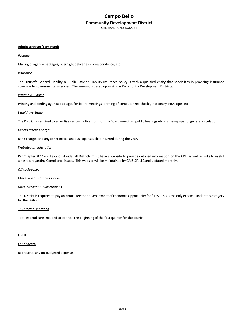## **Campo Bello Community Development District** GENERAL FUND BUDGET

#### **Administrative: (continued)**

#### *Postage*

Mailing of agenda packages, overnight deliveries, correspondence, etc.

### *Insurance*

The District's General Liability & Public Officials Liability Insurance policy is with a qualified entity that specializes in providing insurance coverage to governmental agencies. The amount is based upon similar Community Development Districts.

#### *Printing & Binding*

Printing and Binding agenda packages for board meetings, printing of computerized checks, stationary, envelopes etc

#### *Legal Advertising*

The District is required to advertise various notices for monthly Board meetings, public hearings etc in a newspaper of general circulation.

#### *Other Current Charges*

Bank charges and any other miscellaneous expenses that incurred during the year.

### *Website Administration*

Per Chapter 2014-22, Laws of Florida, all Districts must have a website to provide detailed information on the CDD as well as links to useful websites regarding Compliance issues. This website will be maintained by GMS-SF, LLC and updated monthly.

#### *Office Supplies*

Miscellaneous office supplies

#### *Dues, Licenses & Subscriptions*

The District is required to pay an annual fee to the Department of Economic Opportunity for \$175. This is the only expense under this category for the District.

#### *1st Quarter Operating*

Total expenditures needed to operate the beginning of the first quarter for the district.

#### **FIELD**

#### *Contingency*

Represents any un-budgeted expense.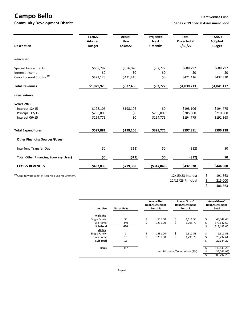# **Campo Bello Debt Service Fund**

**Community Development District Series 2019** Series 2019 Special Assessment Bond

 $\frac{1}{5}$  406,363

| <b>Description</b>                                               | FY2022<br>Adopted<br><b>Budget</b> | <b>Actual</b><br>thru<br>4/30/22 | Projected<br><b>Next</b><br>5 Months | <b>Total</b><br>Projected at<br>9/30/22 | FY2023<br>Adopted<br><b>Budget</b> |
|------------------------------------------------------------------|------------------------------------|----------------------------------|--------------------------------------|-----------------------------------------|------------------------------------|
| <b>Revenues</b>                                                  |                                    |                                  |                                      |                                         |                                    |
| <b>Special Assessments</b>                                       | \$608,797                          | \$556,070                        | \$52,727                             | \$608,797                               | \$608,797                          |
| Interest Income                                                  | \$0                                | \$0                              | \$0                                  | \$0                                     | \$0                                |
| Carry Forward Surplus <sup>(1)</sup>                             | \$421,123                          | \$421,416                        | \$0                                  | \$421,416                               | \$432,320                          |
| <b>Total Revenues</b>                                            | \$1,029,920                        | \$977,486                        | \$52,727                             | \$1,030,213                             | \$1,041,117                        |
| <b>Expenditures</b>                                              |                                    |                                  |                                      |                                         |                                    |
| <b>Series 2019</b>                                               |                                    |                                  |                                      |                                         |                                    |
| Interest 12/15                                                   | \$198,106                          | \$198,106                        | \$0                                  | \$198,106                               | \$194,775                          |
| Principal 12/15                                                  | \$205,000                          | \$0                              | \$205,000                            | \$205,000                               | \$210,000                          |
| Interest 06/15                                                   | \$194,775                          | \$0                              | \$194,775                            | \$194,775                               | \$191,363                          |
| <b>Total Expenditures</b>                                        | \$597,881                          | \$198,106                        | \$399,775                            | \$597,881                               | \$596,138                          |
| <b>Other Financing Sources/(Uses)</b>                            |                                    |                                  |                                      |                                         |                                    |
| Interfund Transfer Out                                           | \$0                                | (512)                            | \$0                                  | (512)                                   | \$0                                |
| <b>Total Other Financing Sources/(Uses)</b>                      | \$0                                | (512)                            | \$0                                  | (512)                                   | \$0                                |
| <b>EXCESS REVENUES</b>                                           | \$432,039                          | \$779,368                        | ( \$347,048)                         | 5432,320                                | \$444,980                          |
| <sup>(1)</sup> Carry forward is net of Reserve Fund requirement. |                                    |                                  |                                      | 12/15/23 Interest                       | \$<br>191,363                      |
|                                                                  |                                    |                                  |                                      | 12/15/23 Principal                      | \$<br>215,000                      |

|                  |              | <b>Annual Net</b>                |          | Annual Gross*          |          | Annual Gross*          |            |
|------------------|--------------|----------------------------------|----------|------------------------|----------|------------------------|------------|
|                  |              | <b>Debt Assessment</b>           |          | <b>Debt Assessment</b> |          | <b>Debt Assessment</b> |            |
| Land Use         | No. of Units | Per Unit                         |          | Per Unit               |          | Total                  |            |
| <b>Main Site</b> |              |                                  |          |                        |          |                        |            |
| Single Family    | 30           | \$                               | 1,531.00 | \$                     | 1,611.58 |                        | 48,347.40  |
| <b>Twin Home</b> | 440          | \$                               | 1,231.00 | \$                     | 1,295.79 |                        | 570,147.60 |
| Sub-Total        | 470          |                                  |          |                        |          |                        | 618,495.00 |
| Annex            |              |                                  |          |                        |          |                        |            |
| Single Family    | $\mathbf{1}$ | \$                               | 1,531.00 | \$                     | 1,611.58 | \$                     | 1,611.58   |
| <b>Twin Home</b> | 16           |                                  | 1,231.00 | \$                     | 1.295.79 |                        | 20,732.64  |
| Sub-Total        | 17           |                                  |          |                        |          |                        | 22,344.22  |
| <b>Totals</b>    | 487          |                                  |          |                        |          |                        | 640,839.22 |
|                  |              | Less: Discounts/Commissions (5%) |          |                        |          | (32,041.96)            |            |
|                  |              |                                  |          |                        |          |                        | 608,797.26 |